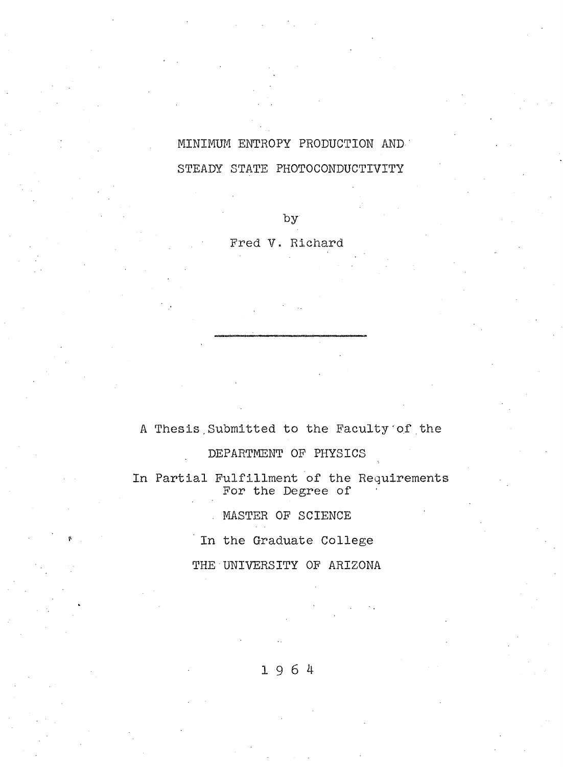# **MINIMUM ENTROPY PRODUCTION AND STEADY STATE PHOTOCONDUCTIVITY**

**by**

## **Fred V. Richard**

# **A Thesis.Submitted to the Faculty"of,the**

# **DEPARTMENT OF PHYSICS**

**In Partial Fulfillment of the Requirements For the Degree of**

**. MASTER OF SCIENCE**

**In the Graduate College**

**THE UNIVERSITY OF ARIZONA**

**1 9 6 4**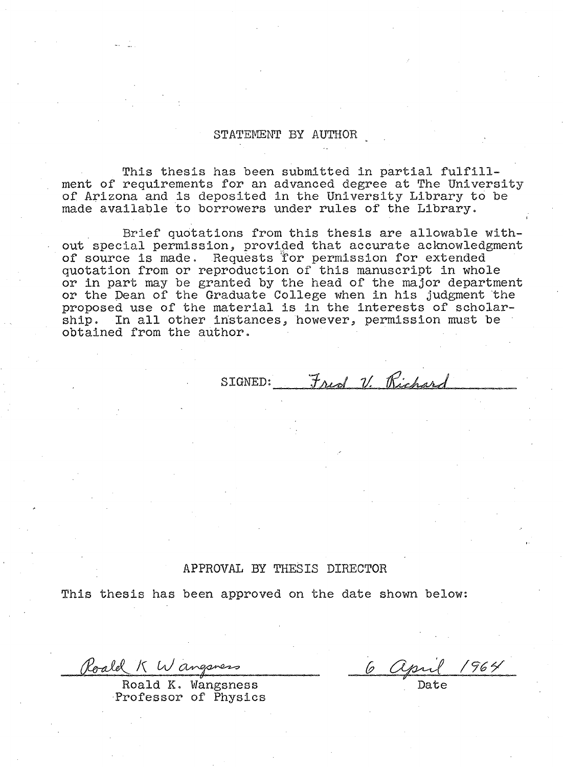#### **STATEMENT BY AUTHOR**

**This thesis has been submitted in partial fulfillment of requirements for an advanced degree at The University of Arizona and is deposited in the University Library to be made available to borrowers under rules of the Library.**

**Brief quotations from this thesis are allowable without special permission, provided that accurate acknowledgment of source is made. Requests ¥or permission for extended quotation from or reproduction of this manuscript in whole or in part may be granted by the head of the major department or the Dean of the Graduate College when in his judgment the proposed use of the material is in the interests of scholarship. In all other instances, however, permission must be obtained from the author.**

SIGNED: Fred V. Richard

#### **APPROVAL BY THESIS DIRECTOR**

**This thesis has been approved on the date shown below:**

Roald K Wangsness

**Roald K. Wangsness Professor of Physics**

<u>6 April 1964</u>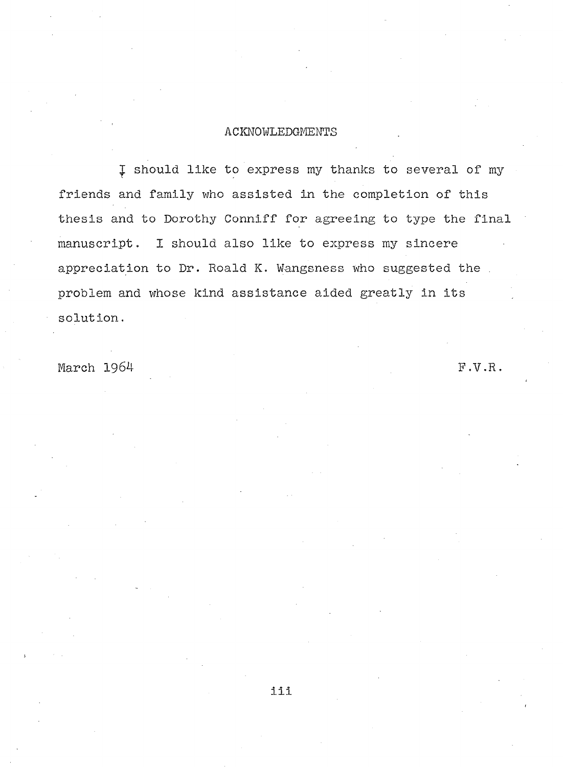### **ACKNOWLEDGMENTS**

**J should like to express my thanks to several of my friends and family who assisted in the completion of this thesis and to Dorothy Conniff for agreeing to type the final manuscript. I should also like to express my sincere appreciation to Dr. Roald K. Wangsness who suggested the problem and whose kind assistance aided greatly in its solution.**

**March 1964 F.V.R.**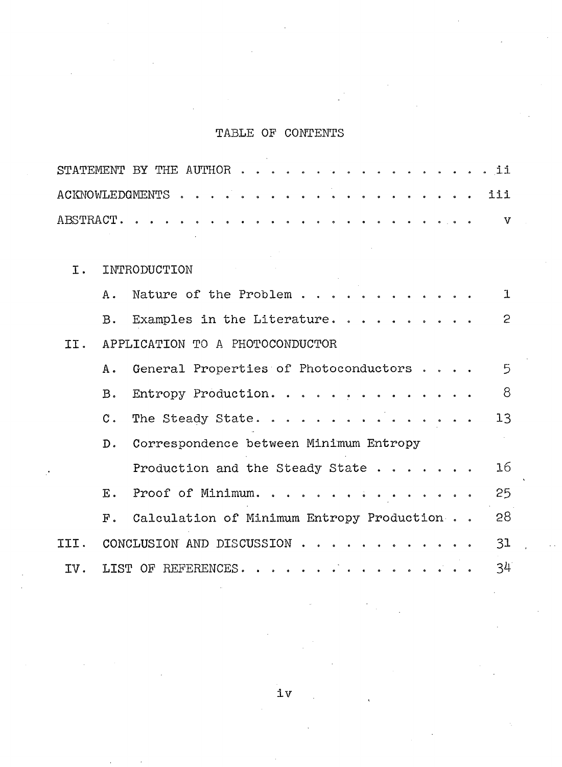# **TABLE OF CONTENTS**

| STATEMENT BY THE AUTHOR $\cdots$ ii |              |  |        |                                                                                                                                                                                                                                         |  |  |  |  |  |  |  |  |  |
|-------------------------------------|--------------|--|--------|-----------------------------------------------------------------------------------------------------------------------------------------------------------------------------------------------------------------------------------------|--|--|--|--|--|--|--|--|--|
|                                     |              |  |        |                                                                                                                                                                                                                                         |  |  |  |  |  |  |  |  |  |
|                                     |              |  |        |                                                                                                                                                                                                                                         |  |  |  |  |  |  |  |  |  |
|                                     |              |  | $\sim$ |                                                                                                                                                                                                                                         |  |  |  |  |  |  |  |  |  |
|                                     | INTRODUCTION |  |        | $\mathcal{L}^{\mathcal{L}}(\mathcal{L}^{\mathcal{L}})$ and $\mathcal{L}^{\mathcal{L}}(\mathcal{L}^{\mathcal{L}})$ and $\mathcal{L}^{\mathcal{L}}(\mathcal{L}^{\mathcal{L}})$ and $\mathcal{L}^{\mathcal{L}}(\mathcal{L}^{\mathcal{L}})$ |  |  |  |  |  |  |  |  |  |
|                                     |              |  |        |                                                                                                                                                                                                                                         |  |  |  |  |  |  |  |  |  |

|      | A.,                             | 1<br>Nature of the Problem $\cdots$ $\cdots$ $\cdots$ $\cdots$ $\cdots$ |  |  |  |  |  |  |
|------|---------------------------------|-------------------------------------------------------------------------|--|--|--|--|--|--|
|      |                                 | $\mathsf{S}$<br>B. Examples in the Literature. $\ldots$                 |  |  |  |  |  |  |
| II.  | APPLICATION TO A PHOTOCONDUCTOR |                                                                         |  |  |  |  |  |  |
|      |                                 | 5<br>A. General Properties of Photoconductors                           |  |  |  |  |  |  |
|      | $\mathbf{B}$ .                  | -8<br>Entropy Production.                                               |  |  |  |  |  |  |
|      | $\mathbf{C}$ .                  | 13<br>The Steady State.                                                 |  |  |  |  |  |  |
|      |                                 | D. Correspondence between Minimum Entropy                               |  |  |  |  |  |  |
|      |                                 | 16<br>Production and the Steady State                                   |  |  |  |  |  |  |
|      |                                 | $E.$ Proof of Minimum.<br>25                                            |  |  |  |  |  |  |
|      |                                 | 28<br>F. Calculation of Minimum Entropy Production                      |  |  |  |  |  |  |
| III. |                                 | CONCLUSION AND DISCUSSION<br>31                                         |  |  |  |  |  |  |
| IV.  |                                 | 34<br>LIST OF REFERENCES.                                               |  |  |  |  |  |  |

**iv**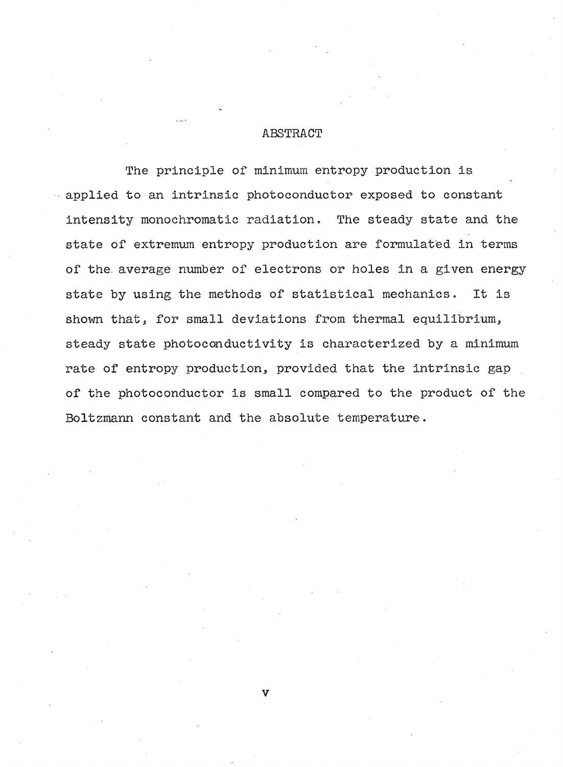#### **ABSTRACT**

**The principle of minimum entropy production is applied to an intrinsic photoconductor exposed to constant intensity monochromatic radiation. The steady state and the state of extremum entropy production are formulated in terms of the average number of electrons or holes in a given energy state by using the methods of statistical mechanics. It is shown that, for small deviations from thermal equilibrium, steady state photoconductivity is characterized by a minimum rate of entropy production, provided that the intrinsic gap . of the photoconductor is small compared to the product of the Boltzmann constant and the absolute temperature.**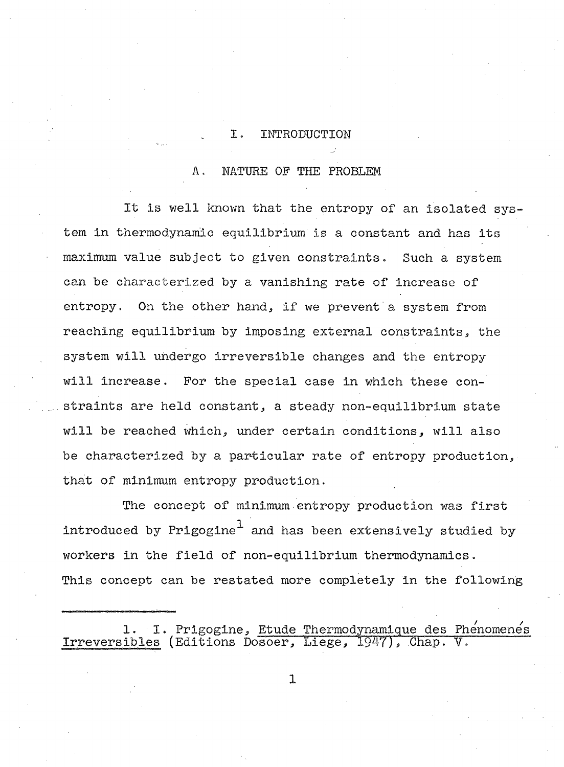#### **I . INTRODUCTION**

#### **A. NATURE OP THE PROBLEM**

**It is well known that the entropy of an isolated system in thermodynamic equilibrium is a constant and has its maximum value subject to given constraints. Such a system can be characterized by a vanishing rate of increase of entropy. On the other hand, if we prevent a system from reaching equilibrium by imposing external constraints, the system will undergo irreversible changes and the entropy will increase. For the special case in which these constraints are held constant, a steady non-equilibrium state will be reached which, under certain conditions, will also be characterized by a particular rate of entropy production, that of minimum entropy production.**

**The concept of minimum entropy production was first introduced by Prigogine^ and has been extensively studied by workers in the field of non-equilibrium thermodynamics. This concept can be restated more completely in the following**

1. I. Prigogine, Etude Thermodynamique des Phenomenes **Irreversibles (Editions Dosoer, Liege, 1947), Chap. V. ~ '**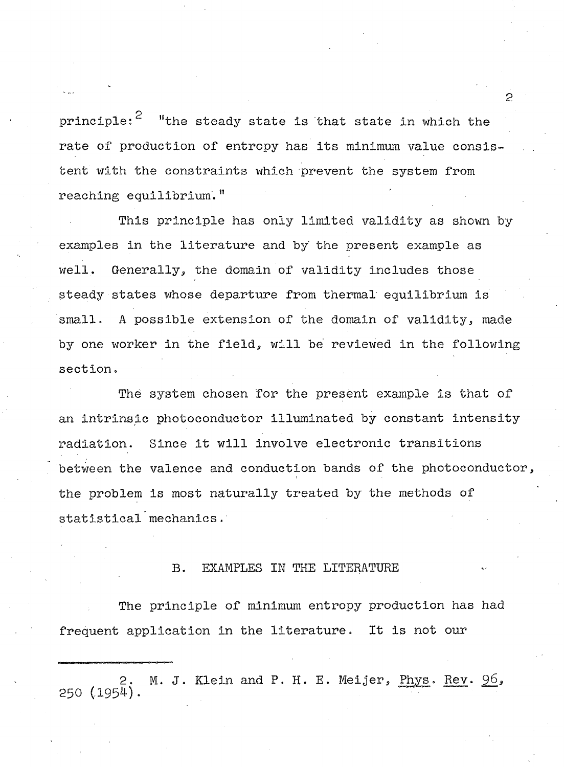**p principle: "the steady state is that state in which the rate of production of entropy has its minimum value consistent with the constraints which prevent the system from reaching equilibrium."**

**This principle has only limited validity as shown by examples in the literature and by' the present example as well. Generally, the domain of validity includes those steady states whose departure from thermal equilibrium is small. A possible extension of the domain of validity, made by one worker in the field, will be reviewed in the following section.**

**The system chosen for the present example is that of an intrinsic photoconductor illuminated by constant intensity radiation. Since it will involve electronic transitions between the valence and conduction bands of the photoconductor, the problem is most naturally treated by the methods of statistical mechanics.**

#### **B. EXAMPLES IN THE LITERATURE**

**The principle of minimum entropy production has had frequent application in the literature. It is not our**

**2. M. J. Klein and P. H. E. Meijer, Phys. Rev. 96, 250 (1954).**

 $\mathbf{c}$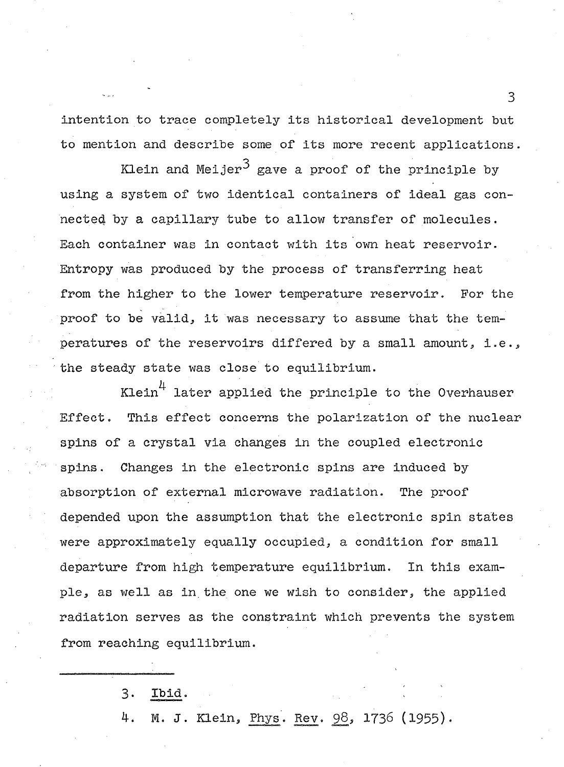**intention to trace completely its historical development but to mention and describe some of its more recent applications.**

**"3 Klein and Meijer^ gave a proof of the principle by using a system of two identical containers of ideal gas connected by a capillary tube to allow transfer of molecules. Each container was in contact with its own heat reservoir. Entropy was produced by the process of transferring heat from the higher to the lower temperature reservoir. For the proof to be valid, it was necessary to assume that the temperatures of the reservoirs differed by a small amount, i.e., the steady state was close to equilibrium.**

**Klein^ later applied the principle to the Overhauser Effect. This effect concerns the polarization of the nuclear spins of a crystal via changes in the coupled electronic spins. Changes in the electronic spins are induced by absorption of external microwave radiation. The proof depended upon the assumption that the electronic spin states were approximately equally occupied, a condition for small departure from high temperature equilibrium. In this example, as well as in.the one we wish to consider, the applied radiation serves as the constraint which prevents the system from reaching equilibrium.**

**3\* Ibid.**

**4. M. J. Klein, Phys. Rev. 98, 1736 (1955).**

 $\mathcal{F}$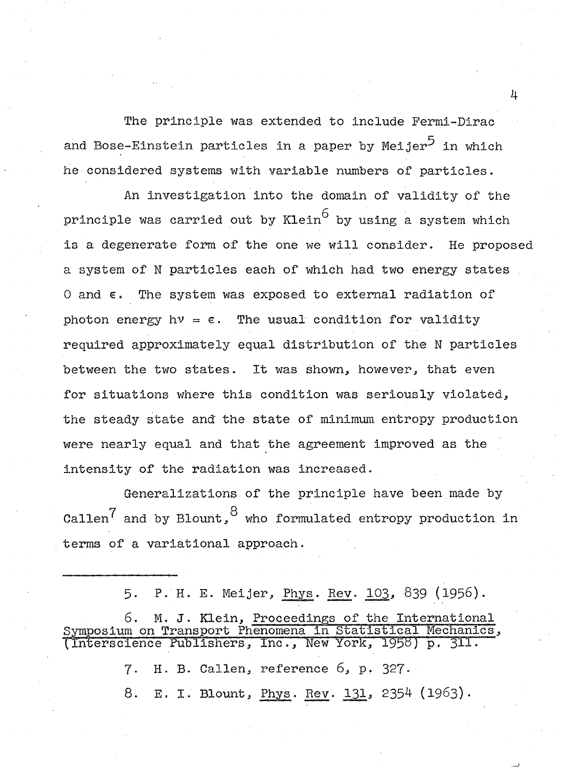**The principle was extended to include Fermi-Dirac and Bose-Einstein particles in a paper by Meijer^ in which he considered systems with variable numbers of particles.**

**An investigation into the domain of validity of the 6 principle was carried out by Klein by using a system which is a degenerate form of the one we will consider. He proposed a system of N particles each of which had two energy states 0 and €. The system was exposed to external radiation of** photon energy  $h\nu = \varepsilon$ . The usual condition for validity **required approximately equal distribution of the N particles between the two states. It was shown, however, that even for situations where this condition was seriously violated, the steady state and the state of minimum entropy production were nearly equal and that the agreement improved as the intensity of the radiation was increased.**

**Generalizations of the principle have been made by**  $\texttt{Callen}^\mathcal T$  and by Blount, $^8$  who formulated entropy production in **terms of a variational approach.**

**5. P. H. E. Meijer, Phys. Rev. 103, 839 (1956).**

**6. M. J. Klein, Proceedings of the International Symposium on Transport Phenomena in Statistical Mechanics,** (Interscience Publishers, Inc., New York, 1958) p. 311.

**7- H. B. Callen, reference 6, p. 327•**

**8. E. I. Blount, Phys. Rev. 131, 2354 (1963).**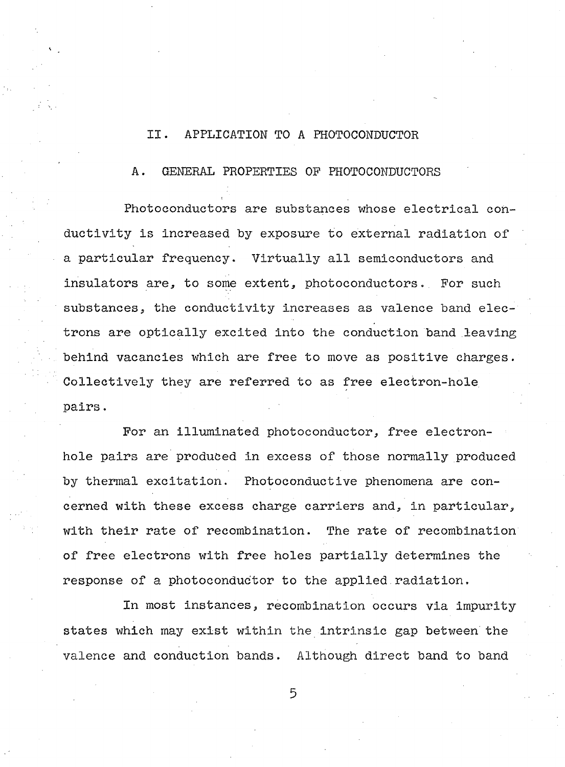### **II. APPLICATION TO A PHOTOCONDUCTOR**

**A. GENERAL PROPERTIES OP PHOTOCONDUCTORS**

**Photoconductors are substances whose electrical conductivity is increased by exposure to external radiation of a particular frequency. Virtually all semiconductors and insulators are, to some extent, photoconductors. For such substances, the conductivity increases as valence band electrons are optically excited into the conduction band leaving behind vacancies which are free to move as positive charges. Collectively they are referred to as free electron-hole pairs.**

**For an illuminated photoconductor, free electronhole pairs are produced in excess of those normally produced by thermal excitation. Photoconductive phenomena are concerned with these excess charge carriers and, in particular, with their rate of recombination. The rate of recombination of free electrons with free holes partially determines the response of a photoconductor to the applied radiation.**

**In most instances, recombination occurs via impurity states which may exist within the intrinsic gap between the valence and conduction bands. Although direct band to band**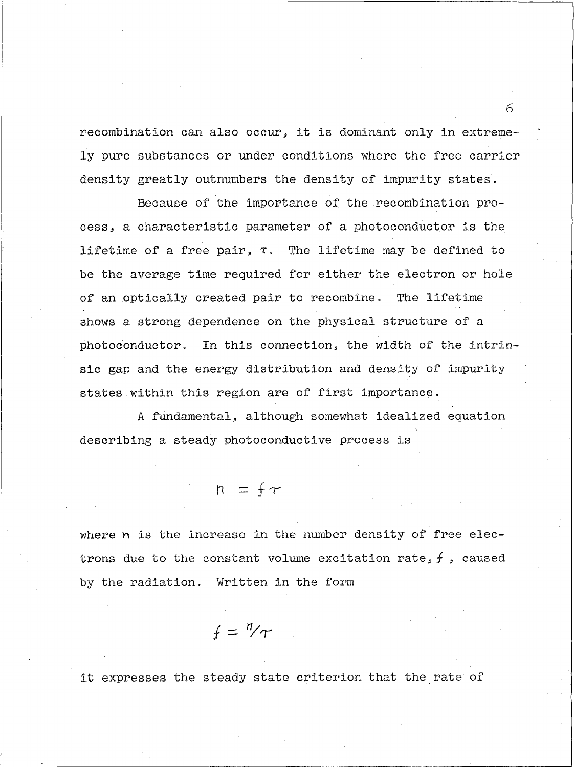**recombination can also occur, it is dominant only in extremely pure substances or under conditions where the free carrier density greatly outnumbers the density of impurity states.**

**Because of the importance of the recombination process, a characteristic parameter of a photoconductor is the lifetime of a free pair, t . The lifetime may be defined to be the average time required for either the electron or hole of an optically created pair to recombine. The lifetime shows a strong dependence on the physical structure of a photoconductor. In this connection, the width of the Intrinsic gap and the energy distribution and density of impurity states.within this region are of first importance.**

**A fundamental, although somewhat idealized equation describing a steady photoconductive process is**

$$
n = f\tau
$$

**where h is the increase in the number density of free elec**trons due to the constant volume excitation rate, f, caused **by the radiation. Written in the form**

$$
f = \frac{n}{\tau}
$$

**it expresses the steady state criterion that the rate of**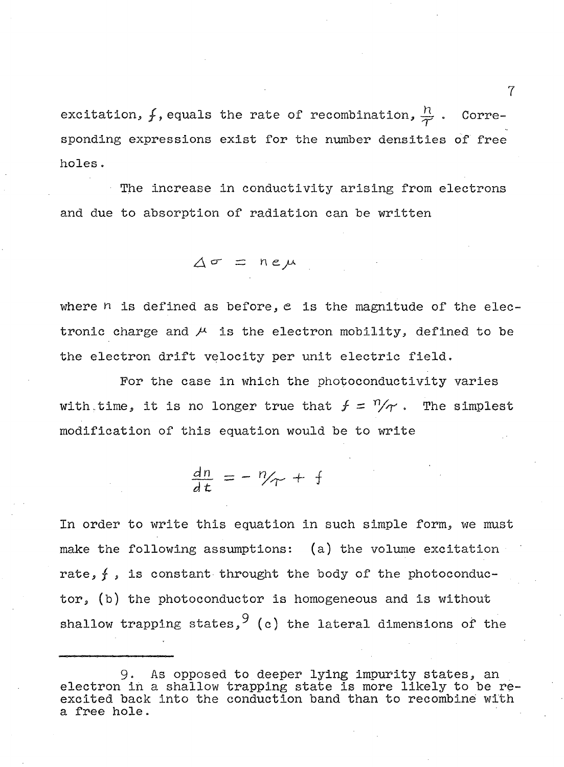excitation,  $f$ , equals the rate of recombination,  $\frac{R}{\sigma}$ . Corre**sponding expressions exist for the number densities of free holes.**

**The increase in conductivity arising from electrons and due to absorption of radiation can be written**

$$
\Delta \sigma = n e \mu
$$

**where n is defined as before, e is the magnitude of the elec**tronic charge and  $\mu$  is the electron mobility, defined to be **the electron drift velocity per unit electric field.**

**For the case in which the photoconductivity varies** with time, it is no longer true that  $f = \frac{n}{\gamma}$ . The simplest **modification of this equation would be to write**

$$
\frac{dn}{dt} = -\frac{n}{\gamma} + f
$$

**In order to write this equation in such simple form, we must make the following assumptions: (a) the volume excitation** rate,  $f$ , is constant throught the body of the photoconduc**tor, (b) the photoconductor is homogeneous and is without** shallow trapping states,  $9$  (c) the lateral dimensions of the

**<sup>9•</sup> As opposed to deeper lying impurity states, an electron in a shallow trapping state is more likely to be reexcited back into the conduction band than to recombine with a free hole.**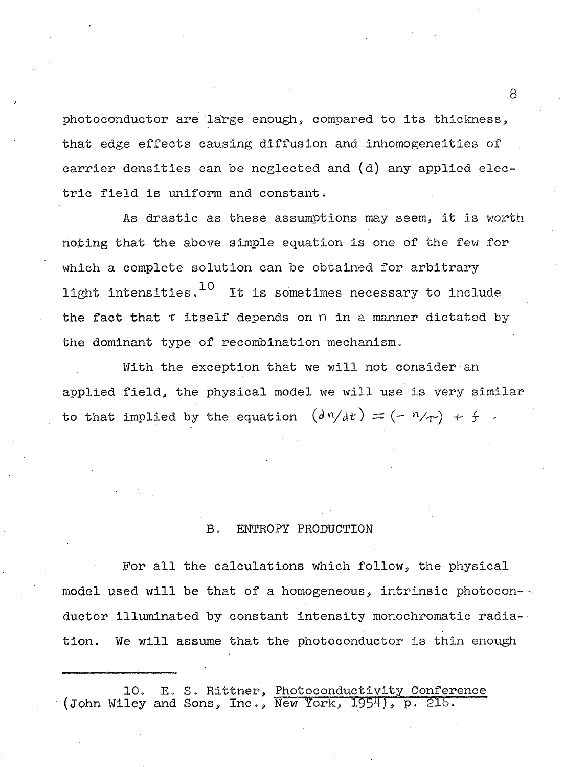**photoconductor are large enough, compared to Its thickness, that edge effects causing diffusion and inhomogeneities of carrier densities can be neglected and (d) any applied electric field is uniform and constant ^**

**As drastic as these assumptions may seem, it is worth noting that the above simple equation is one of the few for which a complete solution can be obtained for arbitrary light intensities.^ It is sometimes necessary to include the fact that t itself depends on n in a manner dictated by the dominant type of recombination mechanism.**

**With the exception that we will not consider an applied field, the physical model we will use is very similar** to that implied by the equation  $(d^n/dt) = (-n/m) + f$ 

#### **B. ENTROPY PRODUCTION**

**For all the calculations which follow, the physical model used will be that of a homogeneous, intrinsic photocon-~ ductor illuminated by constant intensity monochromatic radiation. We will assume that the photoconductor is thin enough**

**10. E. S. Rittner, Photoconductivity Conference (John Wiley and Sons, Inc., New York, 1954) , P . 216.' "**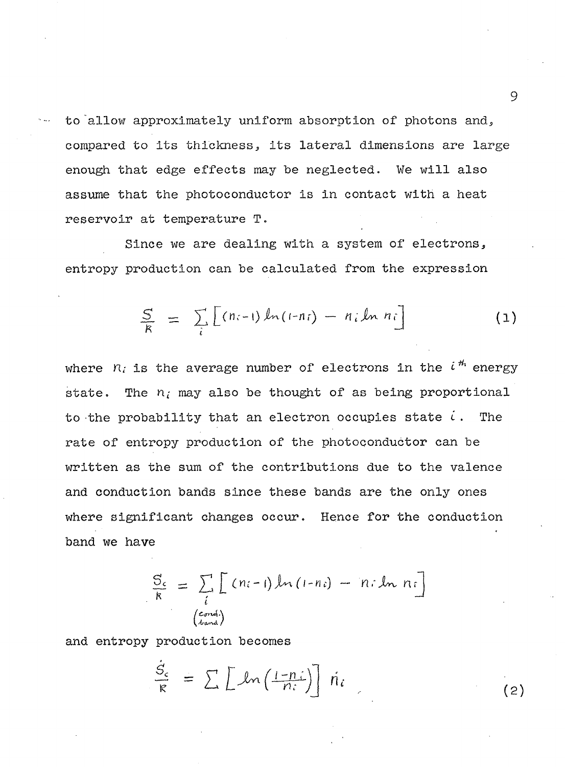**to allow approximately uniform absorption of photons and, compared to its thickness, its lateral dimensions are large enough that edge effects may be neglected. We will also assume that the photoconductor is in contact with a heat reservoir at temperature T .**

**Since we are dealing with a system of electrons, entropy production can be calculated from the expression**

$$
\frac{S}{R} = \sum_{i} \left[ (n_{i-1}) \ln(i-n_{i}) - n_{i} \ln n_{i} \right]
$$
 (1)

state. The  $n_i$  may also be thought of as being proportional **to the probability that an electron occupies state** *i* **. The rate of entropy production of the photoconductor can be written as the sum of the contributions due to the valence and conduction bands since these bands are the only ones where significant changes occur. Hence for the conduction band we have** where  $n_i$  is the average number of electrons in the  $i^{\#}$  energy

$$
\frac{S_c}{R} = \sum_{i} \left[ (n_i - i) \ln (1 - n_i) - n_i \ln n_i \right]
$$
  
\n
$$
\binom{cond_i}{t_{\text{band}}}
$$

**and entropy production becomes**

$$
\frac{\dot{S}_c}{R} = \sum \left[ ln \left( \frac{1 - n_i}{n_i} \right) \right] \dot{n}_i \tag{2}
$$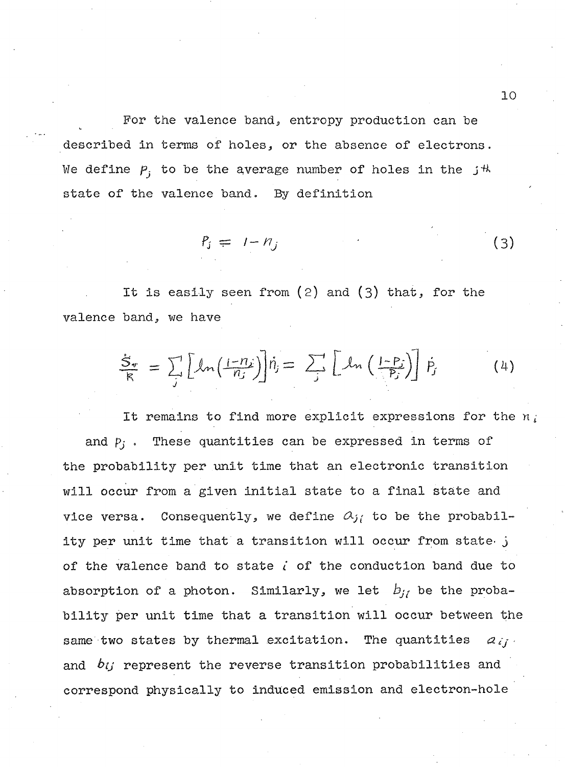**For the valence band, entropy production can be described In terms of holes, or the absence of electrons.** We define  $P_i$ , to be the average number of holes in the  $j^{\#}$ **state of the valence band. By definition**

$$
P_j = I - n_j \tag{3}
$$

**It Is easily seen from (2) and (3) that, for the valence band, we have**

$$
\frac{\dot{S}_{\mathbf{v}}}{R} = \sum_{j} \left[ \ln \left( \frac{1 - n_j}{n_j} \right) \right] \dot{n}_j = \sum_{j} \left[ \ln \left( \frac{1 - p_j}{p_j} \right) \right] \dot{p}_j \tag{4}
$$

It remains to find more explicit expressions for the  $n_i$ **and** *pj* **. These quantities can be expressed in terms of the probability per unit time that an electronic transition will occur from a given initial state to a final state and** vice versa. Consequently, we define  $a_{j}$  to be the probabil**ity per unit time that a transition will occur from state- j of the valence band to state** *i* **of the conduction band due to** absorption of a photon. Similarly, we let  $b_{ji}$  be the proba**bility per unit time that a transition will occur between the** same two states by thermal excitation. The quantities  $|a_{ij}|$ **and** *b y* **represent the reverse transition probabilities and correspond physically to induced emission and electron-hole**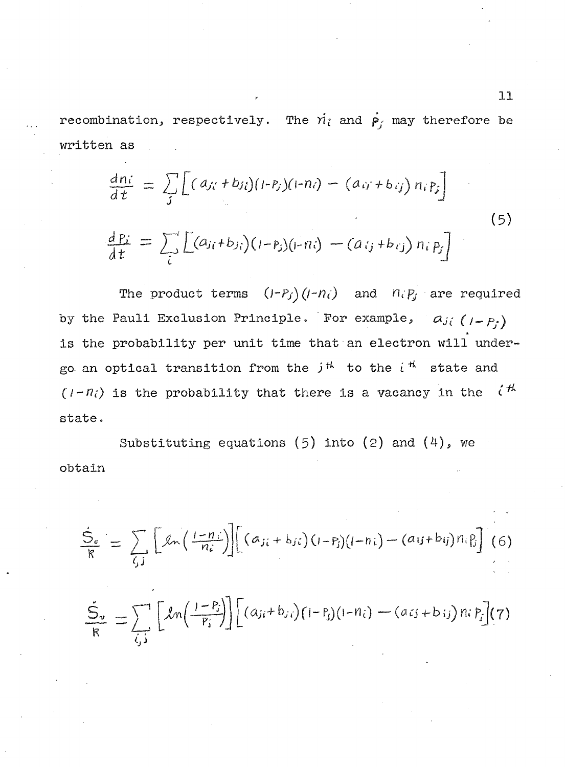recombination, respectively. The  $\vec{n}_i$  and  $\vec{P}_j$  may therefore be **written as**

$$
\frac{dn_i}{dt} = \sum_j \left[ (a_{ji} + b_{ji})(1 - p_j)(1 - n_i) - (a_{ij} + b_{ij}) n_i p_j \right]
$$
\n
$$
\frac{d p_i}{dt} = \sum_i \left[ (a_{ji} + b_{ji})(1 - p_j)(1 - n_i) - (a_{ij} + b_{ij}) n_i p_j \right]
$$
\n(5)

The product terms  $(I - P_f)(I - n_i)$  and  $n_i P_f$  are required **by the Pauli Exclusion Principle. For example,**  $Q_{ji}$  (1-P;) **is the probability per unit time that an electron will undergo an optical transition from the** *j fk* **to the i ^ state and**  $(1-n_i)$  is the probability that there is a vacancy in the  $i<sup>th</sup>$ **state.**

**Substituting equations (5) into (2) and (4), we obtain**

$$
\frac{\dot{S}_{\varepsilon}}{R} = \sum_{i,j} \left[ \ln \left( \frac{1 - n_i}{n_i} \right) \right] \left[ (\alpha_{ji} + b_{ji}) (1 - P_j) (1 - n_i) - (\alpha_{ij} + b_{ij}) n_i \beta \right] (6)
$$
\n
$$
\frac{\dot{S}_{\nu}}{R} = \sum_{i,j} \left[ \ln \left( \frac{1 - P_j}{P_j} \right) \right] \left[ (\alpha_{ji} + b_{ji}) (1 - P_j) (1 - n_i) - (\alpha_{ij} + b_{ij}) n_i P_j \right] (7)
$$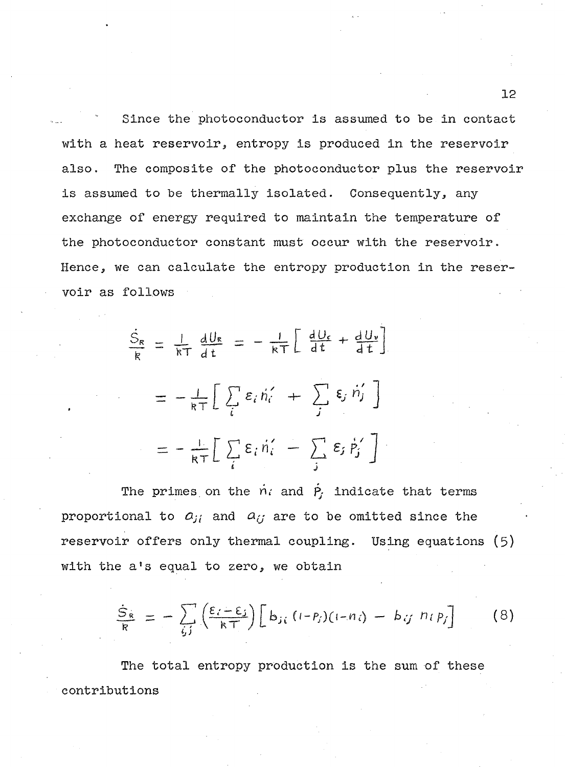**Since the photoconductor is assumed to be in contact with a heat reservoir, entropy is produced in the reservoir also. The composite of the photoconductor plus the reservoir is assumed to be thermally isolated. Consequently, any exchange of energy required to maintain the temperature of the photoconductor constant must occur with the reservoir. Hence, we can calculate the entropy production in the reservoir as follows**

$$
\frac{\dot{S}_R}{k} = \frac{1}{kT} \frac{dU_R}{dt} = -\frac{1}{kT} \left[ \frac{dU_r}{dt} + \frac{dU_v}{dt} \right]
$$
\n
$$
= -\frac{1}{kT} \left[ \sum_i \varepsilon_i \dot{n'_i} + \sum_j \varepsilon_j \dot{n'_j} \right]
$$
\n
$$
= -\frac{1}{kT} \left[ \sum_i \varepsilon_i \dot{n'_i} - \sum_j \varepsilon_j \dot{p'_j} \right]
$$

proportional to  $a_{ji}$  and  $a_{ij}$  are to be omitted since the **reservoir offers only thermal coupling. Using equations (5) with the a 's equal to zero, we obtain** The primes on the  $n_i$  and  $\dot{P}_j$  indicate that terms

$$
\frac{\dot{S}_{R}}{R} = -\sum_{i,j} \left( \frac{\varepsilon_{i} - \varepsilon_{j}}{kT} \right) \left[ b_{ji} \left( (-P_{i}) \left( (-n_{i}) - b_{ij} \ln P_{j} \right) \right] \right]
$$
 (8)

**The total entropy production is the sum of these contributions**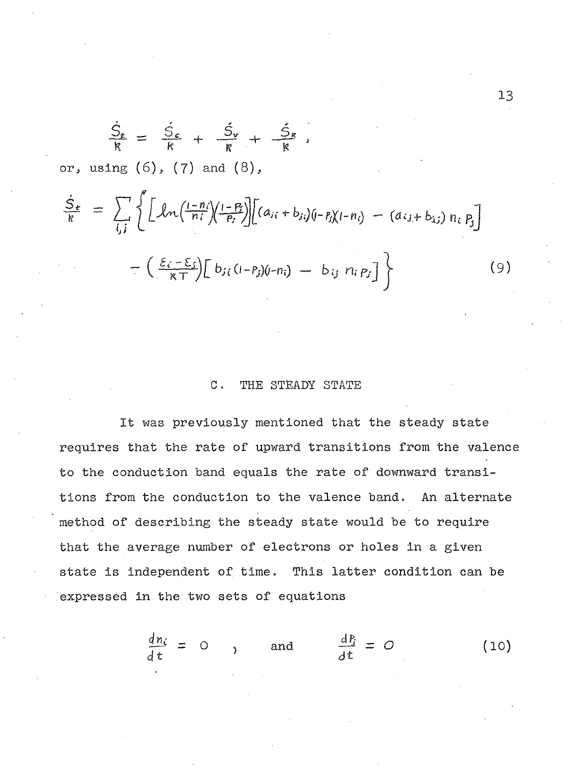$$
\frac{\dot{S}_k}{R} = \frac{\dot{S}_c}{R} + \frac{\dot{S}_v}{R} + \frac{\dot{S}_R}{R}
$$

**or, using (6), (7) and (8),**

$$
\frac{\dot{S}_r}{R} = \sum_{i,j} \left\{ \left[ \ln \left( \frac{1 - n_i}{n_i} \right) \left( \frac{1 - p_i}{p_j} \right) \right] \left[ (a_{ij} + b_{jj})(I - p_j)(I - n_i) - (a_{ij} + b_{ij}) n_i p_j \right] - \left( \frac{\varepsilon_i - \varepsilon_j}{R \tau} \right) \left[ b_{ji}(I - p_j)(I - n_i) - b_{ij} n_i p_j \right] \right\}
$$
\n(9)

#### **C. THE STEADY STATE**

**It was previously mentioned that the steady state requires that the rate of upward transitions from the valence to the conduction band equals the rate of downward transitions from the conduction to the valence band. An alternate method of describing the steady state would be to require that the average number of electrons or holes in a given state is independent of time. This latter condition can be expressed in the two sets of equations**

$$
\frac{dn_i}{dt} = 0 \qquad \text{and} \qquad \frac{dP_i}{dt} = 0 \qquad (10)
$$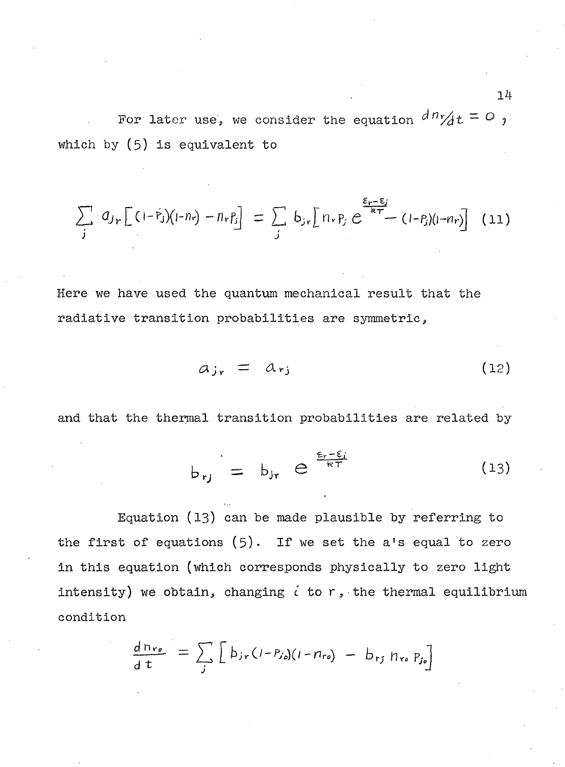For later use, we consider the equation  $d^n \gamma/dt = 0$ , **which by (5) is equivalent to**

$$
\sum_{j} q_{j} \left[ (1 - \hat{r}_{j})(1 - n_{r}) - n_{r} \hat{r}_{j} \right] = \sum_{j} b_{j} \left[ n_{r} \hat{r}_{j} e^{\frac{\sum_{r} - \sum_{j}^{r}}{R_{r} - r}} - (1 - \hat{r}_{j})(1 - n_{r}) \right] (11)
$$

**Here we have used the quantum mechanical result that the radiative transition probabilities are symmetric,**

$$
a_{j\gamma} = a_{rj} \tag{12}
$$

**and that the thermal transition probabilities are related by**

$$
b_{rj} = b_{jr} \in \frac{\epsilon_r - \epsilon_j}{kT} \tag{13}
$$

**Equation (13) can be made plausible by referring to the first of equations (5)• If we set the a 's equal to zero in this equation (which corresponds physically to zero light intensity) we obtain, changing** *c* **to r, the thermal equilibrium condition**

$$
\frac{d \ln r_{\theta}}{dt} = \sum_{j} \left[ b_{jr} (1 - P_{j_{\theta}})(1 - n_{r_{\theta}}) - b_{r_{j}} n_{r_{\theta}} P_{j_{\theta}} \right]
$$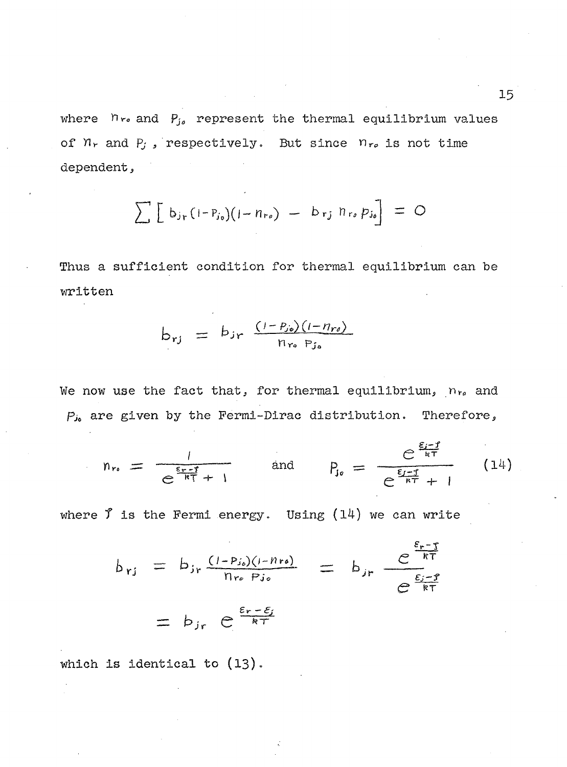where  $n_{r}$  and  $P_{j}$  represent the thermal equilibrium values **of hr and** *Pj* **, respectively. But since rir» is not time dependent,**

$$
\sum \left[ b_{j_{r}} (1 - P_{j_{0}}) (1 - n_{r_{0}}) - b_{r_{j}} n_{r_{0}} p_{j_{0}} \right] = O
$$

**Thus a sufficient condition for thermal equilibrium can be written**

$$
b_{rj} = b_{jr} \frac{(1 - p_{j\phi})(1 - n_{r\phi})}{n_{r\phi} p_{j\phi}}
$$

**Me now use the fact that, for thermal equilibrium, m, and Pj4 are given by the Fermi-Dirac distribution. Therefore,**

$$
n_{r_0} = \frac{1}{e^{\frac{\epsilon_r - \hat{r}}{\kappa \tau}} + 1} \quad \text{and} \quad P_{j_0} = \frac{e^{\frac{\epsilon_r - \hat{r}}{\kappa \tau}}}{e^{\frac{\epsilon_r - \hat{r}}{\kappa \tau}} + 1} \quad (14)
$$

**where T is the Fermi energy. Using (14) we can write**

**bjr C kT-**

$$
b_{rj} = b_{jr} \frac{(1 - p_{j_0})(1 - n_{r_0})}{n_{r_0} p_{j_0}} = b_{jr} \frac{e^{\frac{\varepsilon_r - r}{RT}}}{e^{\frac{\varepsilon_r - r}{RT}}}
$$

**which is identical to (13)•**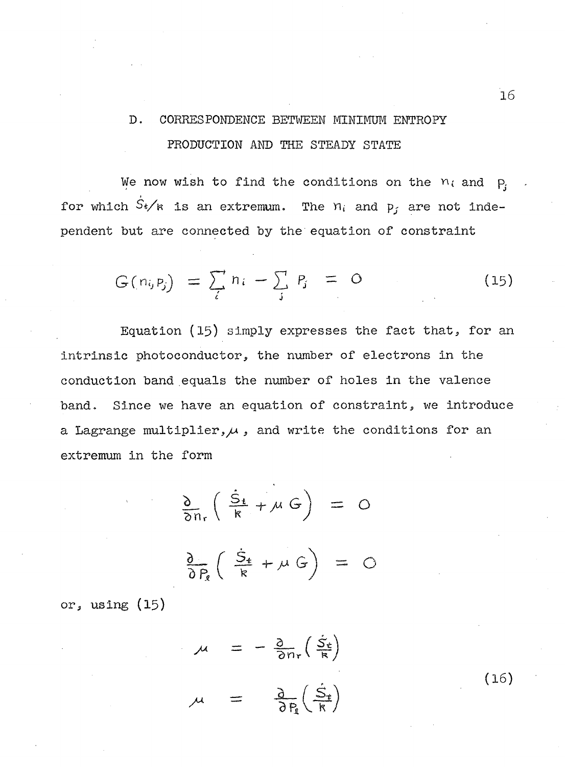# **D. CORRESPONDENCE BETWEEN MINIMUM ENTROPY PRODUCTION AND THE STEADY STATE**

We now wish to find the conditions on the  $n_i$  and  $p_i$ for which  $S_t$ /k is an extremum. The  $\eta_i$  and  $p_j$  are not inde**pendent but are connected by the equation of constraint**

$$
G(n_i, p_j) = \sum_i n_i - \sum_i p_j = 0 \qquad (15)
$$

**intrinsic photoconductor, the number of electrons in the conduction band equals the number of holes in the valence band. Since we have an equation of constraint, we introduce** a Lagrange multiplier,  $\mu$ , and write the conditions for an **extremum in the form Equation (15) simply expresses the fact that, for an**

$$
\frac{\delta}{\delta n_r}\left(\begin{array}{c}\n\frac{\dot{S}_1}{R} + \mu G\n\end{array}\right) = 0
$$

$$
\frac{\partial}{\partial P_g} \left( \frac{\dot{S}_t}{R} + \mu \ G \right) = O
$$

**or, using (15)**

$$
\mu = -\frac{\partial}{\partial n_r} \left( \frac{\dot{S}_\epsilon}{R} \right)
$$

$$
\mu = \frac{\partial}{\partial P_s} \left( \frac{\dot{S}_\epsilon}{R} \right)
$$

 $16$ 

 $(16)$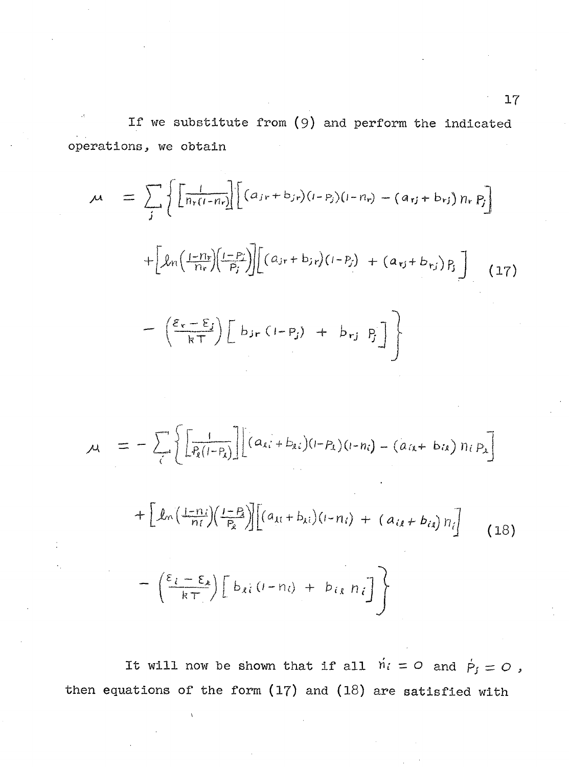**If we substitute from (9) and perform the Indicated operations5 we obtain**

$$
\mu = \sum_{j} \left\{ \left[ \frac{1}{n_{\rm r}(i-n_{\rm r})} \right] \left[ (a_{j\rm r} + b_{j\rm r})(i-p_{\rm r})(i-n_{\rm r}) - (a_{\rm r}j + b_{\rm r}j) n_{\rm r} P_{j} \right] \right\}
$$
  
+ 
$$
\left[ \ln \left( \frac{1-n_{\rm r}}{n_{\rm r}} \right) \left( \frac{i-p_{\rm r}}{P_{j}} \right) \right] \left[ (a_{j\rm r} + b_{j\rm r})(i-p_{\rm r}) + (a_{\rm r}j + b_{\rm r}j) P_{\rm r} \right] \left( 17 \right)
$$
  
- 
$$
\left( \frac{\varepsilon_{\rm r} - \varepsilon_{j}}{kT} \right) \left[ b_{j\rm r} (i-p_{\rm r}) + b_{\rm r}j P_{\rm r} \right] \right\}
$$
  

$$
\mu = - \sum_{i} \left\{ \left[ \frac{1}{P_{\rm R}(i-p_{\rm r})} \right] \left[ (a_{i\rm r}i + b_{i\rm r})(i-p_{\rm r})(i-n_{\rm r}) - (a_{i\rm r}i + b_{i\rm s}) n_{\rm r} P_{\rm r} \right]
$$
  
+ 
$$
\left[ \ln \left( \frac{1-n_{\rm r}}{n_{\rm r}} \right) \left( \frac{i-p_{\rm r}}{P_{\rm R}} \right) \right] \left[ (a_{i\rm r}i + b_{i\rm r})(i-n_{\rm r}) + (a_{i\rm r}i + b_{i\rm r}) n_{\rm r} \right] \left( 18 \right)
$$
  
- 
$$
\left( \frac{\varepsilon_{i} - \varepsilon_{\rm s}}{kT} \right) \left[ b_{i\rm r}(i-n_{\rm r}) + b_{i\rm r} n_{\rm r} \right] \right\}
$$

It will now be shown that if all  $\dot{n}_i = 0$  and  $\dot{P}_j = 0$ , **then equations of the form (17) and (18) are satisfied with**

**\**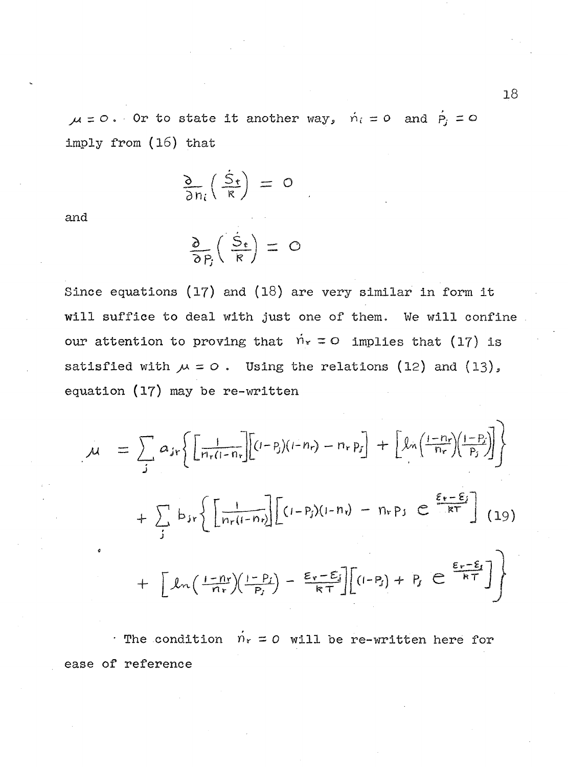$\mu = 0$ . Or to state it another way,  $\dot{n}_i = 0$  and  $\dot{P}_j = 0$ **imply from (16) that**

$$
\frac{\partial}{\partial n_i} \left( \frac{\dot{S}_t}{R} \right) = 0
$$

**and**

$$
\frac{\partial}{\partial P_i} \left( \frac{\dot{S}_t}{R} \right) = 0
$$

**Since equations (17) and (18) are very similar in form it will suffice to deal with just one of them. We will confine** our attention to proving that  $\eta_r = 0$  implies that (17) is satisfied with  $\mu = 0$ . Using the relations (12) and (13), **equation (17) may be re-written**

$$
\mu = \sum_{j} \alpha_{jr} \left\{ \left[ \frac{1}{n_r(1-n_r)} \left[ (1-p_j)(1-n_r) - n_r p_j \right] + \left[ \ln \left( \frac{1-n_r}{n_r} \right) \left( \frac{1-p_j}{p_j} \right) \right] \right\} + \sum_{j} \beta_{jr} \left\{ \left[ \frac{1}{n_r(1-n_r)} \right] \left[ (1-p_j)(1-n_r) - n_r p_j \right] \right\} \frac{\epsilon_r - \epsilon_j}{kT} \right\} (19)
$$

 $\cdot$  The condition  $n_r = 0$  will be re-written here for **ease of reference**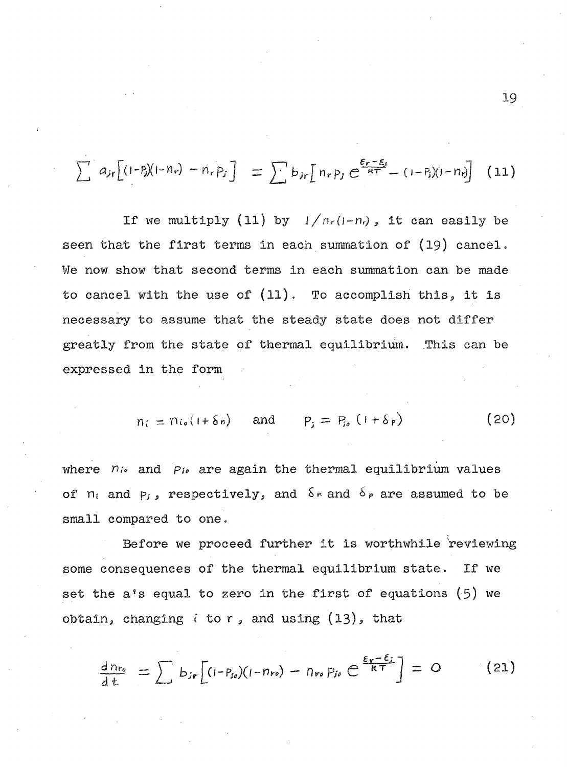$$
\sum a_{jr} \left[ (1-p)(1-n_r) - n_r p_r \right] = \sum b_{jr} \left[ n_r p_j e^{\frac{\epsilon_r - \epsilon_j}{RT}} - (1-p_j)(1-n_r) \right] (11)
$$

If we multiply (11) by  $1/n_r(1-n_r)$ , it can easily be **seen that the first terms in each summation of (19) cancel. We now show that second terms in each summation can be made to cancel with the use of (ll). To accomplish this, it is necessary to assume that the steady state does not differ greatly from the state of thermal equilibrium. This can be expressed in the form**

$$
n_i = n_{i\bullet}(1+\delta_n) \quad \text{and} \quad p_i = p_{i\bullet}(1+\delta_p) \tag{20}
$$

**where n/« and** *pu* **are again the thermal equilibrium values** of  $n_i$  and  $p_j$ , respectively, and  $\delta r$  and  $\delta p$  are assumed to be **small compared to one.**

**Before we proceed further it is worthwhile reviewing some consequences of the thermal equilibrium state. If we set the a's equal to zero in the first of equations (5) we obtain, changing < to r , and using (13), that**

$$
\frac{d n_{r_0}}{dt} = \sum b_{jr} \left[ (1 - p_{j_0})(1 - n_{r_0}) - n_{r_0} p_{j_0} \right] \frac{\varepsilon_r - \varepsilon_r}{kT} = O \qquad (21)
$$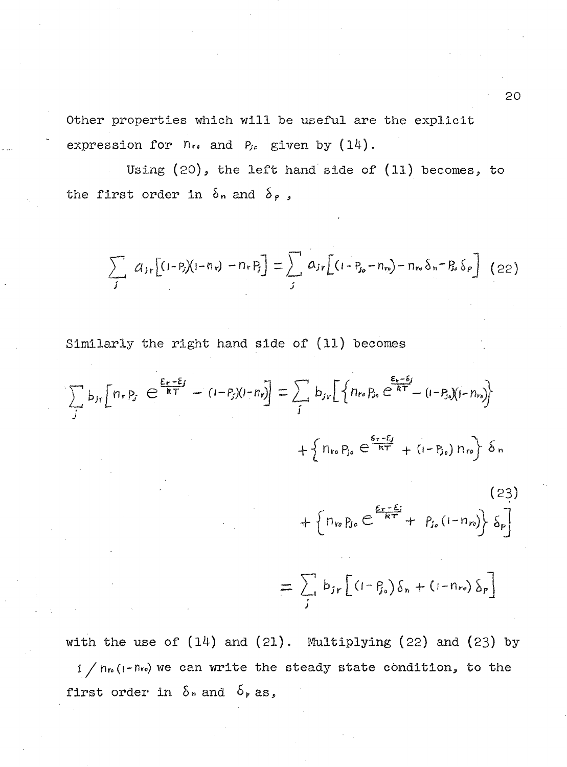**Other properties which will be useful are the explicit expression for hr, and** *Pje* **given by (14).**

**Using (20), the left hand side of (11) becomes, to** the first order in  $\delta_n$  and  $\delta_p$ ,

$$
\sum_{j} a_{jr} \left[ (1-p_j)(1-n_r) - n_r p_j \right] = \sum_{j} a_{jr} \left[ (1-p_{jo} - n_{ro}) - n_{ro} \delta_n - \beta_o \delta_p \right] \tag{22}
$$

**Similarly the right hand side of (ll) becomes**

$$
\sum_{j} b_{jr} \left[ n_r P_j \right] \in \frac{\varepsilon_r - \varepsilon_j}{RT} - (1 - P_j)(1 - n_r) = \sum_{j} b_{jr} \left[ \left\{ n_{r\rho} P_{j\rho} \right] \in \frac{\varepsilon_r - \varepsilon_j}{RT} - (1 - P_{j\rho})(1 - n_{r\rho}) \right\}
$$

$$
+ \left\{ n_{r\rho} P_{j\rho} \in \frac{\varepsilon_r - \varepsilon_j}{RT} + (1 - P_{j\rho}) n_{r\rho} \right\} \delta_n
$$

$$
+\left\{n_{ro}p_{jo}e^{\frac{\xi_{r}-\xi_{j}}{kT}}+p_{jo}(1-n_{ro})\right\}\delta_{p}
$$

$$
= \sum_{j} b_{jr} \left[ (1 - \beta_{j_0}) \delta_n + (1 - n_{re}) \delta_p \right]
$$

**with the use of (14) and (21). Multiplying (22) and (23) by 1 / nn(i-nro) we can write the steady state condition, to the** first order in  $\delta_{\mathbf{r}}$  and  $\delta_{\mathbf{r}}$  as,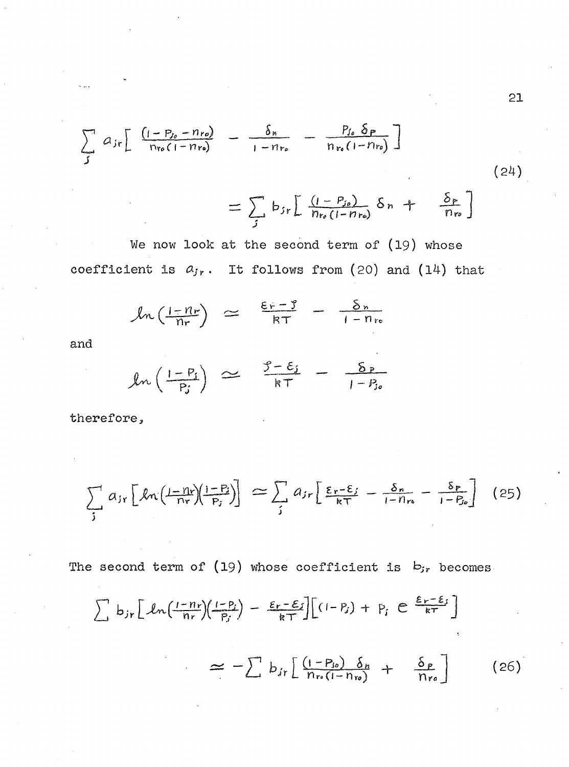$$
\sum_{s} a_{sr} \left[ \frac{(1 - P_{j_0} - n_{ro})}{n_{ro}(1 - n_{ro})} - \frac{\delta_n}{1 - n_{ro}} - \frac{P_{j_0} \delta_P}{n_{ro}(1 - n_{ro})} \right]
$$
\n
$$
= \sum_{s} b_{sr} \left[ \frac{(1 - P_{j_0})}{n_{ro}(1 - n_{ro})} \delta_n + \frac{\delta_P}{n_{ro}} \right]
$$
\n(24)

**Me now look at the second term of (19) whose** coefficient is  $a_{jr}$ . It follows from (20) and (14) that

$$
ln\left(\frac{1-nr}{nr}\right) \approx \frac{\epsilon_r - \gamma}{RT} - \frac{\delta_n}{1-n_{ro}}
$$

**and**

$$
ln\left(\frac{1-P_i}{P_j}\right) \approx \frac{\frac{P-\epsilon_j}{RT}}{RT} - \frac{\delta_P}{1-P_{j_o}}
$$

**therefore.**

$$
\sum_{j} a_{jr} \left[ \ln \left( \frac{1 - \eta_r}{\eta_r} \right) \left( \frac{1 - \rho_j}{\rho_r} \right) \right] \simeq \sum_{j} a_{jr} \left[ \frac{\varepsilon_r - \varepsilon_j}{\kappa \tau} - \frac{\delta_r}{1 - \eta_r} - \frac{\delta_r}{1 - \rho_{j_0}} \right] \tag{25}
$$

The second term of  $(19)$  whose coefficient is  $b_{ir}$  becomes

$$
\sum_{i} b_{j\mathbf{r}} \left[ \ln \left( \frac{1 - n_{\mathbf{r}}}{n_{\mathbf{r}}} \right) \left( \frac{1 - p_{j}}{p_{j}} \right) - \frac{\varepsilon_{\mathbf{r}} - \varepsilon_{j}}{kT} \right] \left[ (1 - p_{j}) + p_{j} \right] \in \frac{\varepsilon_{\mathbf{r}} - \varepsilon_{j}}{kT} \right]
$$

$$
\approx - \sum_{i} b_{j\mathbf{r}} \left[ \frac{(1 - p_{j_{0}})}{n_{\mathbf{r}} (1 - n_{\mathbf{r}})} + \frac{\delta_{\mathbf{r}}}{n_{\mathbf{r}}}\right] \qquad (26)
$$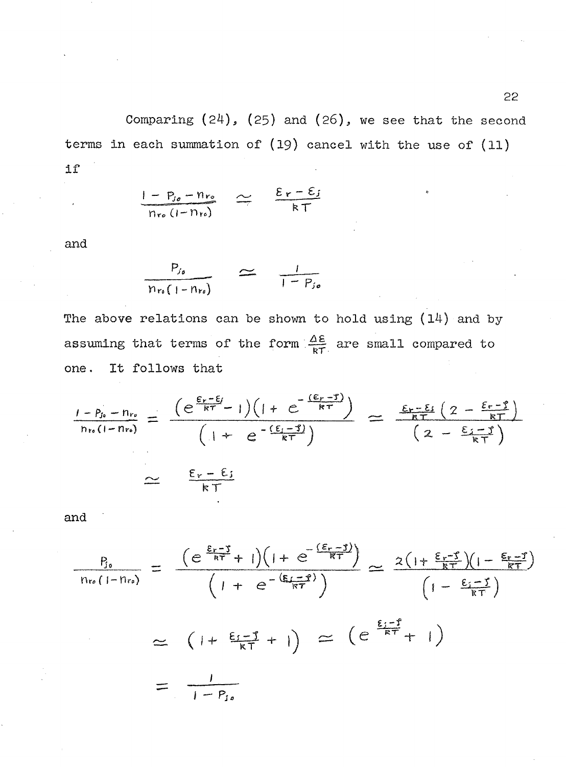**Comparing (24), (25) and (26)\* we see that the second terms in each summation of (19) cancel with the use of (11) if**

$$
\frac{1-P_{j_0}-n_{r_0}}{n_{r_0}(1-n_{r_0})} \quad \simeq \quad \frac{\varepsilon_{r}-\varepsilon_{j}}{kT}
$$

**and**

$$
\frac{P_{j_{\mathfrak{o}}}}{p_{r_{\mathfrak{o}}(1-p_{r_{\mathfrak{o}}})}} \quad \cong \quad \frac{1}{1-p_{j_{\mathfrak{o}}}}
$$

**The above relations can be shown to hold using (14) and by** assuming that terms of the form  $\frac{\Delta \varepsilon}{R}$  are small compared to **one. It follows that**

$$
\frac{1-P_{j_6}-n_{r_6}}{n_{r_6}(1-n_{r_6})} = \frac{\left(e^{\frac{E_r-E_j}{RT}}-1\right)\left(1+e^{-\frac{(E_r-T)}{RT}}\right)}{\left(1+e^{-\frac{(E_i-T)}{RT}}\right)} = \frac{\frac{E_r-E_j}{RT}\left(2-\frac{E_r-T}{RT}\right)}{\left(2-\frac{E_i-T}{RT}\right)}
$$

$$
\approx \frac{\frac{E_r-E_j}{RT}}{kT}
$$

**and**

$$
\frac{P_{j_0}}{n r_o (1 - n r_o)} = \frac{\left(e^{\frac{\xi_r - \zeta}{RT}} + 1\right) \left(1 + e^{-\frac{\left(\xi_r - \zeta\right)}{RT}}\right)}{\left(1 + e^{-\frac{\left(\xi_r - \zeta\right)}{RT}}\right)} \approx \frac{2\left(1 + \frac{\xi_r - \zeta}{RT}\right) \left(1 - \frac{\xi_r - \zeta}{RT}\right)}{\left(1 - \frac{\xi_i - \zeta}{RT}\right)}
$$
\n
$$
\approx \left(1 + \frac{\xi_f - \zeta}{RT} + 1\right) \approx \left(e^{\frac{\xi_i - \zeta}{RT}} + 1\right)
$$
\n
$$
= \frac{1}{1 - P_{j_0}}
$$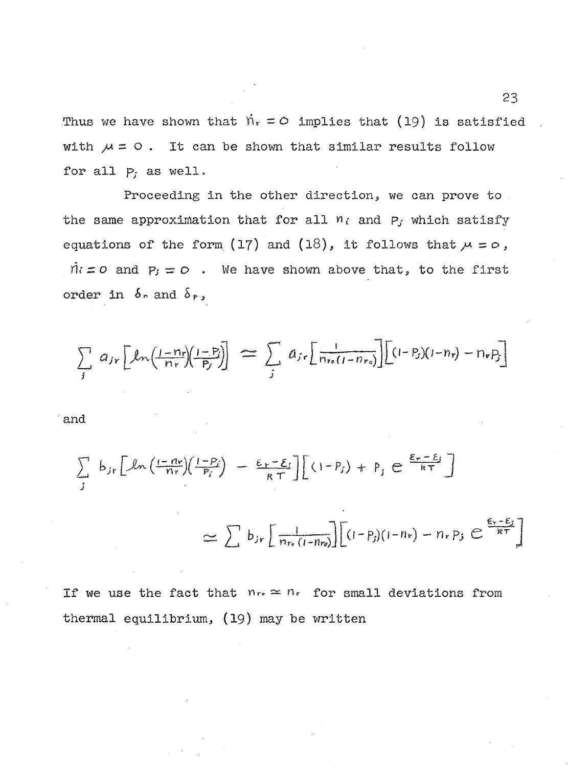Thus we have shown that  $\hat{N}_r = O$  implies that (19) is satisfied with  $\mu = 0$ . It can be shown that similar results follow **for all p; as well.**

**Proceeding in the other direction, we can prove to** the same approximation that for all  $n_i$  and  $p_j$  which satisfy equations of the form  $(17)$  and  $(18)$ , it follows that  $\mu = o$ ,  $\dot{n} = o$  and  $P_j = o$ . We have shown above that, to the first order in  $\delta_{\mathsf{r}}$  and  $\delta_{\mathsf{P}}$ ,

$$
\sum_{j} a_{j\mathbf{r}} \left[ ln \left( \frac{1 - n_{\mathbf{r}}}{n_{\mathbf{r}}} \right) \left( \frac{1 - p_{j}}{p_{j}} \right) \right] \implies \sum_{j} a_{j\mathbf{r}} \left[ \frac{1}{n_{\mathbf{r}} \left( 1 - n_{\mathbf{r}} \right)} \right] \left[ (1 - p_{j}) (1 - n_{\mathbf{r}}) - n_{\mathbf{r}} p_{j} \right]
$$

**and**

$$
\sum_{j} b_{j\mathbf{r}} \left[ ln \left( \frac{1 - n\mathbf{r}}{n\mathbf{r}} \right) \left( \frac{1 - p_{j}}{p_{j}} \right) - \frac{\varepsilon_{\mathbf{r}} - \varepsilon_{\mathbf{f}}}{R\top} \right] \left[ (1 - p_{j}) + p_{j} \right] e^{-\frac{\varepsilon_{\mathbf{r}} - \varepsilon_{\mathbf{f}}}{R\top}} \right]
$$
\n
$$
\simeq \sum_{i} b_{j\mathbf{r}} \left[ \frac{1}{n\mathbf{r}_{\mathbf{r}} \left( 1 - n\mathbf{r}_{\mathbf{r}} \right)} \right] \left[ (1 - p_{j}) (1 - n\mathbf{r}) - n_{\mathbf{r}} p_{j} \right] e^{-\frac{\varepsilon_{\mathbf{r}} - \varepsilon_{\mathbf{f}}}{R\top}} \right]
$$

If we use the fact that  $n_r \approx n_r$  for small deviations from **thermal equilibrium, (19) may be written**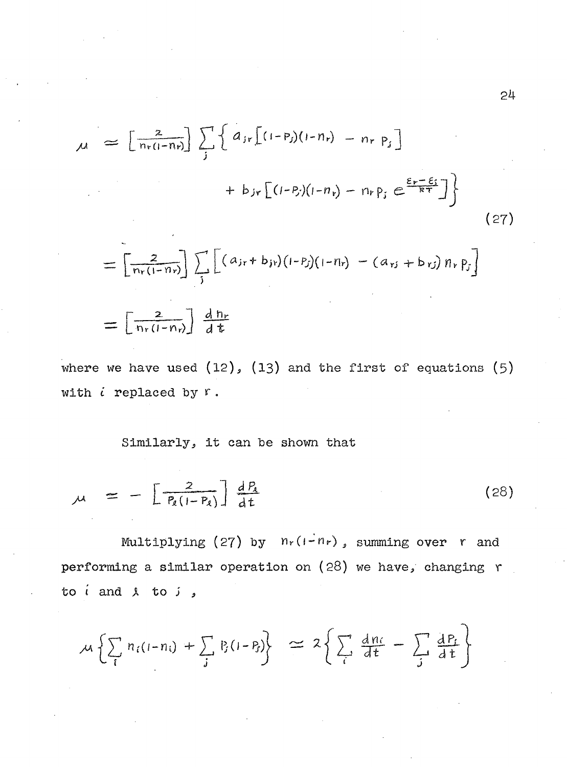$$
\mu = \left[\frac{2}{n_r(1-n_r)}\right] \sum_{j} \left\{ a_{jr} \left[ (1-p_j)(1-n_r) - n_r p_j \right] + b_{jr} \left[ (1-p_j)(1-n_r) - n_r p_j \right] e^{\frac{\xi_r - \xi_j}{RT}} \right\}
$$
(27)

$$
= \left[\frac{2}{n_r(1-n_r)}\right] \sum_{j} \left[ (a_{jr} + b_{jr}) (1-p_j)(1-n_r) - (a_{rj} + b_{rj}) n_r p_j \right]
$$

$$
= \left[\frac{2}{n_r(1-n_r)}\right] \frac{d n_r}{d t}
$$

**where we have used (12), (13) and the first of equations (5) with** *i* **replaced by r .**

## **Similarly, it can be shown that**

$$
\mu = -\left[\frac{2}{P_{\ell}(1-P_{\ell})}\right] \frac{dP_{\ell}}{dt}
$$
 (28)

Multiplying (27) by  $n_r(i-n_r)$ , summing over r and **performing a similar operation on (28) we have, changing r to t and A to j ,**

$$
\mu\left\{\sum_i n_i(i-n_i)+\sum_j P_j(i-P_j)\right\} \approx 2\left\{\sum_i \frac{dn_i}{dt}-\sum_j \frac{dP_i}{dt}\right\}
$$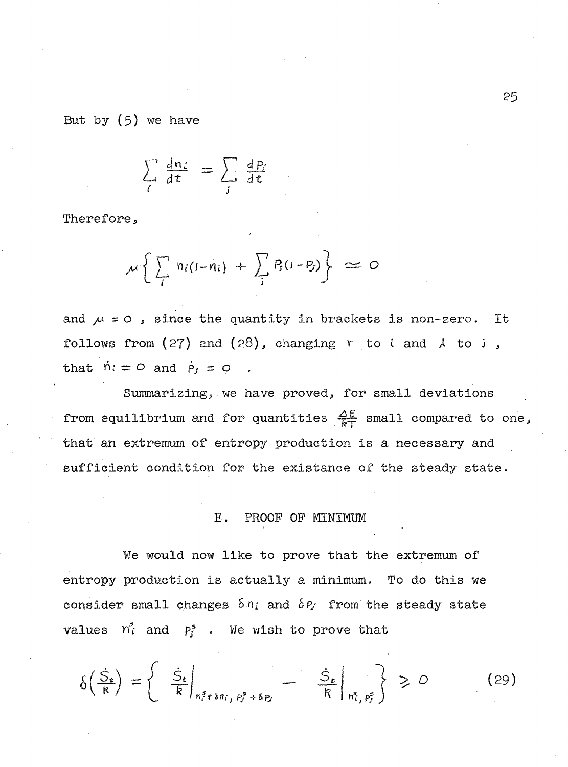**But by (5) we have**

$$
\sum_{i} \frac{dn_i}{dt} = \sum_{j} \frac{dp_j}{dt}
$$

**Therefore,**

$$
\mu\left\{\sum_i n_i(i-n_i) + \sum_j P_i(i-P_j)\right\} \simeq 0
$$

and  $\mu = 0$ , since the quantity in brackets is non-zero. It **follows from (27) and (28), changing t to c and A to j ,** that  $\dot{n}_i = 0$  and  $\dot{p}_j = 0$ 

**Summarizing, we have proved, for small deviations** from equilibrium and for quantities  $\frac{\Delta \mathcal{E}}{\mathcal{E} \mathcal{T}}$  small compared to one, **that an extremum of entropy production is a necessary and** sufficient condition for the existance of the steady state.

#### **E. PROOF OF MINIMUM**

**We would now like to prove that the extremum of entropy production is actually a minimum. To do this we** consider small changes  $\delta n_i$  and  $\delta p_j$  from the steady state values  $n^s$  and  $p^s$  . We wish to prove that

$$
\delta\left(\frac{\dot{S}_{t}}{R}\right) = \left\{\begin{array}{c}\dot{S}_{t} \\ \frac{\dot{S}_{t}}{R}\end{array}\bigg|_{n_{t}^{s}+\delta n_{t},\ P_{s}^{s}+\delta P_{s}} - \frac{\dot{S}_{t}}{R}\bigg|_{n_{t}^{s},\ P_{s}^{s}}\right\} \geq 0 \tag{29}
$$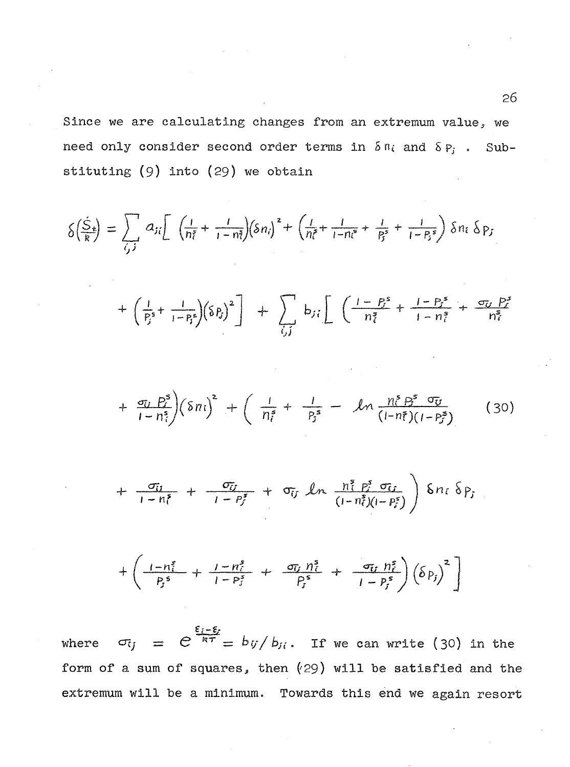**Since we are calculating changes from an extremum value, we** need only consider second order terms in  $\delta n_i$  and  $\delta p_i$ . Sub**stituting (9) into (29) we obtain**

$$
\delta\left(\frac{\dot{S}_{*}}{R}\right) = \sum_{i,j} a_{ii} \left[ \left(\frac{1}{n_{i}^{s}} + \frac{1}{1-n_{i}^{s}}\right) \left(\delta n_{i}\right)^{2} + \left(\frac{1}{n_{i}^{s}} + \frac{1}{1-n_{i}^{s}} + \frac{1}{n_{j}^{s}} + \frac{1}{1-n_{j}^{s}}\right) \delta n_{i} \delta p_{j} \right]
$$
  
+ 
$$
\left(\frac{1}{p_{j}^{s}} + \frac{1}{1-n_{j}^{s}}\right) \left(\delta p_{j}\right)^{2} + \sum_{i,j} b_{ii} \left[ \left(\frac{1-p_{j}^{s}}{n_{i}^{s}} + \frac{1-p_{j}^{s}}{1-n_{i}^{s}} + \frac{\sigma_{i}}{n_{i}^{s}}\right) + \frac{\sigma_{i}}{1-n_{i}^{s}}\right] \left(\delta n_{i}\right)^{2} + \left(\frac{1}{n_{i}^{s}} + \frac{1}{n_{j}^{s}} - \ln \frac{n_{i}^{s}B_{j}^{s} \sigma_{i}}{(1-n_{i}^{s})(1-P_{j}^{s})}\right) \left(30\right)
$$
  
+ 
$$
\frac{\sigma_{i}}{1-n_{i}^{s}} + \frac{\sigma_{i}}{1-P_{j}^{s}} + \sigma_{i} \ln \frac{n_{i}^{s}B_{j}^{s} \sigma_{i}}{(1-n_{i}^{s})(1-P_{j}^{s})}\right) \delta n_{i} \delta p_{j}
$$
 (30)

$$
+\left(\frac{1-n_i^s}{p_j^s}+\frac{1-n_i^s}{1-p_j^s}+\frac{\sigma_{ij}n_i^s}{p_j^s}+\frac{\sigma_{ij}n_i^s}{1-p_j^s}\right)\left(\delta p_j\right)^2\bigg]
$$

**6** where  $\sigma_{ij}$  =  $\mathcal{C}$   $^{k\tau}$  =  $^{b}$   $^{y}/$   $^{b}$   $^{t}$ . If we can write (30) in the form of a sum of squares, then  $(29)$  will be satisfied and the **extremum will be a minimum. Towards this end we again resort**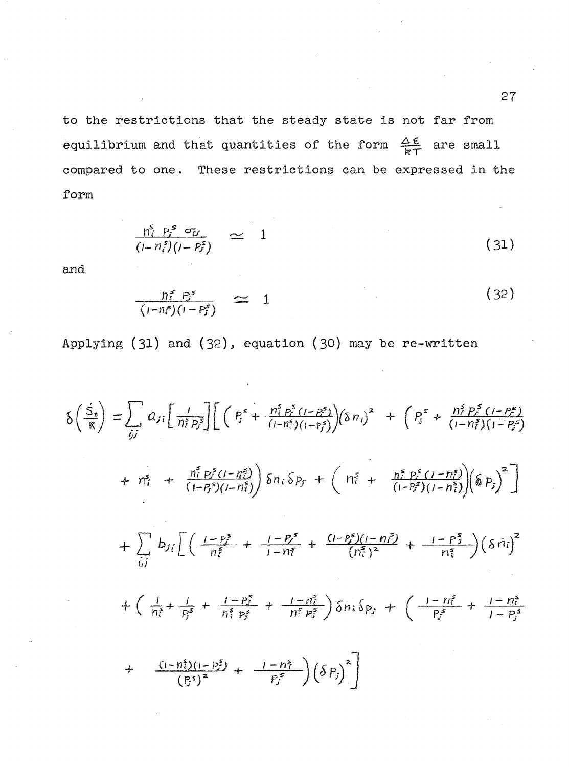**to the restrictions that the steady state is not far from** equilibrium and that quantities of the form  $\frac{\Delta \epsilon}{\textbf{kT}}$  are small **compared to one. These restrictions can be expressed in the form**

$$
\frac{n_i^s \, p_i^s \, \sigma_U}{\left(l - n_i^s\right)\left(l - p_j^s\right)} \quad \simeq \quad 1 \tag{31}
$$

**and**

$$
\frac{n_i^s P_i^s}{(1-n_i^s)(1-P_i^s)} \simeq 1 \tag{32}
$$

**Applying (31) and (32), equation (30) may be re-written**

$$
\delta\left(\frac{\dot{S}_{t}}{R}\right) = \sum_{i,j} a_{i1} \left[ \frac{1}{n_{i}^{s} p_{j}^{s}} \right] \left[ \left( P_{j}^{s} + \frac{n_{i}^{s} p_{j}^{s} (1 - p_{j}^{s})}{(1 - n_{i}^{s})(1 - p_{j}^{s})} \right) (\delta n_{i})^{2} + \left( P_{j}^{s} + \frac{n_{i}^{s} p_{j}^{s} (1 - p_{j}^{s})}{(1 - n_{i}^{s})(1 - p_{j}^{s})} \right) + n_{i}^{s} + \frac{n_{i}^{s} p_{j}^{s} (1 - n_{i}^{s})}{(1 - p_{j}^{s})(1 - n_{i}^{s})} \right) \delta n_{i} \delta p_{j} + \left( n_{i}^{s} + \frac{n_{i}^{s} p_{j}^{s} (1 - n_{i}^{s})}{(1 - p_{j}^{s})(1 - n_{i}^{s})} \right) \left( \delta p_{j} \right)^{2} \right]
$$
  
+ 
$$
\sum_{i,j} b_{j} \left[ \left( \frac{1 - p_{j}^{s}}{n_{i}^{s}} + \frac{1 - p_{j}^{s}}{1 - n_{i}^{s}} + \frac{(1 - p_{j}^{s})(1 - n_{i}^{s})}{(n_{i}^{s})^{2}} + \frac{1 - p_{j}^{s}}{n_{i}^{s}} \right) (\delta n_{i})^{2} + \left( \frac{1}{n_{i}^{s}} + \frac{1}{p_{j}^{s}} + \frac{1}{p_{j}^{s}} + \frac{1 - n_{i}^{s}}{n_{i}^{s} p_{j}^{s}} \right) \delta n_{i} \delta p_{j} + \left( \frac{1 - n_{i}^{s}}{p_{j}^{s}} + \frac{1 - n_{i}^{s}}{1 - p_{j}^{s}} \right) + \frac{(1 - n_{i}^{s})(1 - p_{j}^{s})}{(p_{j}^{s})^{2}} + \frac{1 - n_{i}^{s}}{p_{j}^{s}} \right) \left( \delta p_{j} \right)^{2} \right]
$$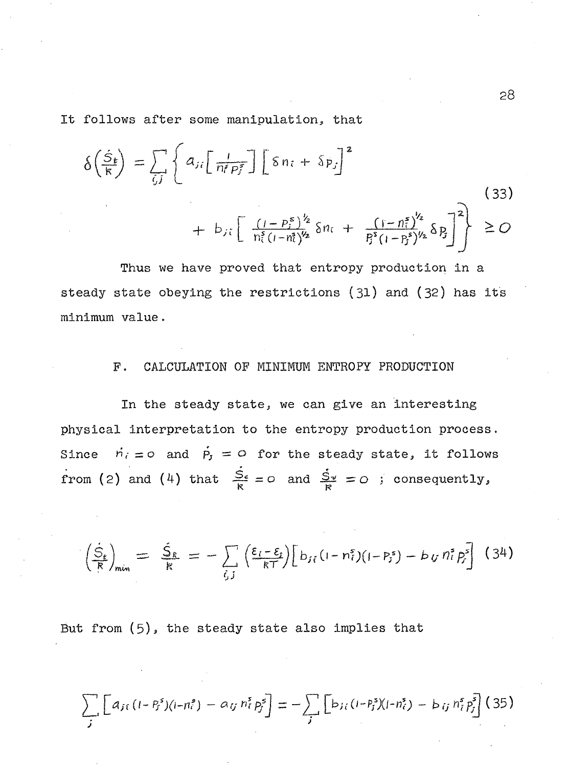**It follows after some manipulation, that**

$$
\delta\left(\frac{\dot{S}_{\mathbf{r}}}{\kappa}\right) = \sum_{\zeta, J} \left\{ a_{\zeta i} \left[ \frac{1}{n_{\zeta}^2 p_{\zeta}^2} \right] \left[ \delta n_{\zeta} + \delta p_{\zeta} \right]^2 + b_{\zeta i} \left[ \frac{\left(1 - p_{\zeta}^2\right)^{\frac{1}{2}}}{n_{\zeta}^2 \left(1 - n_{\zeta}^2\right)^{\frac{1}{2}}} \delta n_{\zeta} + \frac{\left(1 - n_{\zeta}^2\right)^{\frac{1}{2}}}{p_{\zeta}^2 \left(1 - p_{\zeta}^2\right)^{\frac{1}{2}}} \delta p_{\zeta} \right]^2 \right\} \geq 0
$$
\n(33)

**Thus we have proved that entropy production in a steady state obeying the restrictions (31) and (32) has its minimum value.**

## **F. CALCULATION OF MINIMUM ENTROPY PRODUCTION**

**In the steady state, we can give an interesting physical interpretation to the entropy production process.** Since  $\dot{n}_i = o$  and  $\dot{P}_i = O$  for the steady state, it follows **from (2)** and (4) that  $\frac{S_c}{R} = 0$  and  $\frac{S_v}{R} = 0$ ; consequently,

$$
\left(\frac{\dot{S}_t}{R}\right)_{\min} = \frac{\dot{S}_R}{R} = -\sum_{\zeta, j} \left(\frac{\epsilon_i - \epsilon_j}{RT}\right) \left[ b_{j\zeta} (1 - n_{\zeta}^s)(1 - p_j^s) - b_{\zeta j} n_{\zeta}^s p_j^s \right] (34)
$$

**But from (5)» the steady state also implies that**

$$
\sum_{j} [a_{j\ell} (1 - P_j^{s})(1 - n_{\ell}^{s}) - a_{ij} n_{\ell}^{s} P_j^{s}] = - \sum_{j} [b_{j\ell} (1 - P_j^{s})(1 - n_{\ell}^{s}) - b_{ij} n_{\ell}^{s} P_j^{s}] (35)
$$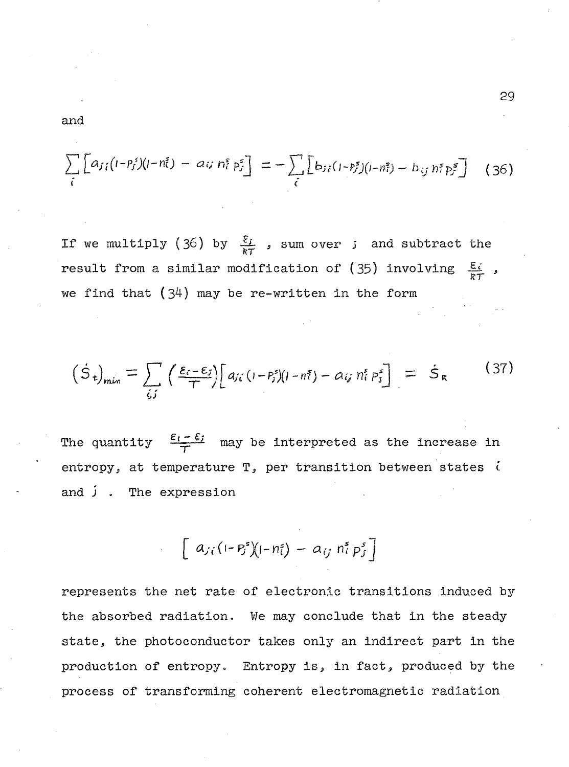**and**

$$
\sum_{i} \left[ a_{ji} (1 - P_{i}^{s})(1 - n_{i}^{s}) - a_{ij} n_{i}^{s} p_{i}^{s} \right] = - \sum_{i} \left[ b_{ji} (1 - P_{i}^{s})(1 - n_{i}^{s}) - b_{ij} n_{i}^{s} p_{i}^{s} \right] \quad (36)
$$

If we multiply ( $36$ ) by  $\frac{\varepsilon_f}{kT}$ , sum over ; and subtract the **result from a similar modification of (35) involving**  $\frac{\varepsilon}{kT}$ **, we find that (34) may be re-written in the form**

$$
(\dot{S}_t)_{\min} = \sum_{\zeta, j} \left( \frac{\varepsilon_{\zeta} - \varepsilon_{j}}{\tau} \right) \left[ a_{j\zeta} \left( 1 - P_{j}^{s} \right) \left( 1 - n\overline{\zeta} \right) - a_{i\zeta} n_{i}^{s} P_{s}^{s} \right] = \dot{S}_{\kappa}
$$
 (37)

The quantity  $\frac{\varepsilon_i - \varepsilon_j}{\tau}$  may be interpreted as the increase in **entropy, at temperature T, per transition between states t and j . The expression**

$$
\left[ a_{ji} (1 - P_j^s)(1 - n_i^s) - a_{ij} n_i^s p_j^s \right]
$$

**represents the net rate of electronic transitions induced by the absorbed radiation. We may conclude that in the steady** state, the photoconductor takes only an indirect part in the **production of entropy. Entropy is, in fact, produced by the process of transforming coherent electromagnetic radiation**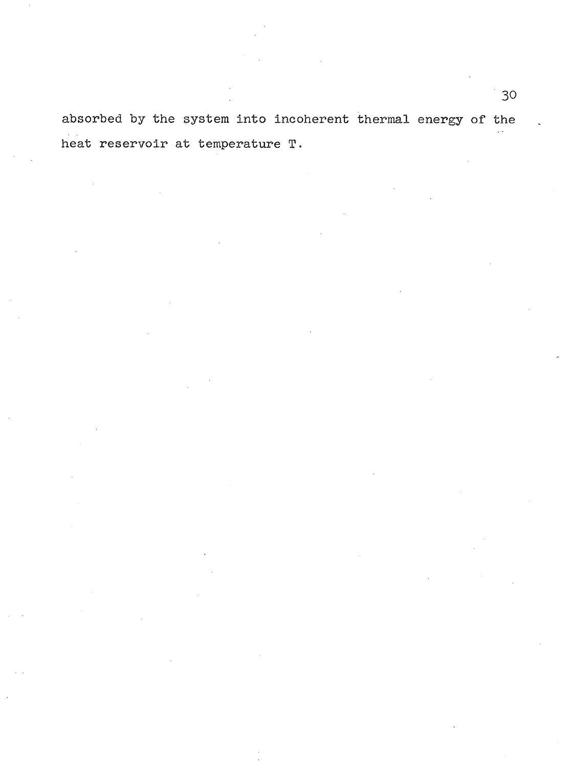**absorbed by the system into incoherent thermal energy of the heat reservoir at temperature T .**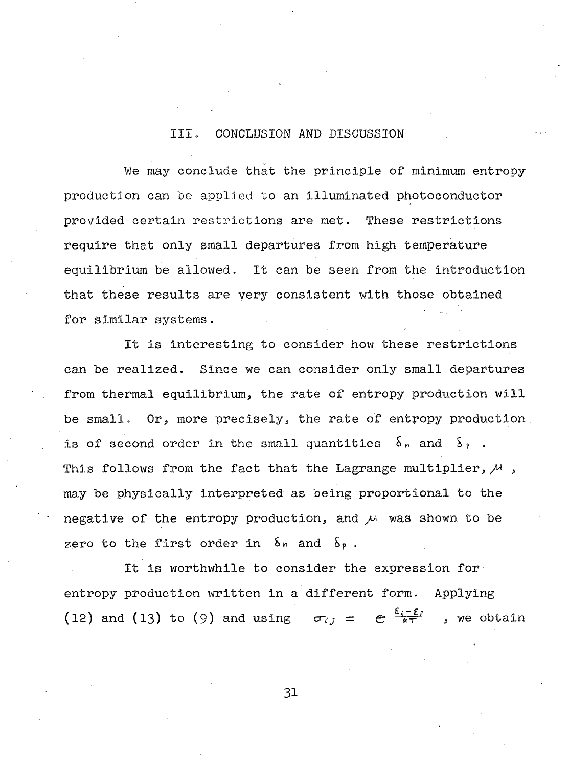#### **III. CONCLUSION AND DISCUSSION**

**We may conclude that the principle of minimum entropy production can be applied to an illuminated photoconductor provided certain restrictions are met. These restrictions require that only small departures from high temperature equilibrium be allowed. It can be seen from the introduction that these results are very consistent with those obtained for similar systems.**

**It is interesting to consider how these restrictions can be realized. Since we can consider only small departures from thermal equilibrium, the rate of entropy production will be small. Or, more precisely, the rate of entropy production** is of second order in the small quantities  $\delta$ <sub>n</sub> and  $\delta$ <sub>p</sub>. This follows from the fact that the Lagrange multiplier,  $\mu$ , **may be physically interpreted as being proportional to the** negative of the entropy production, and  $\mu$  was shown to be **zero to the first order in S« and Sp .**

**It is worthwhile to consider the expression for entropy production written in a different form. Applying** (12) and (13) to (9) and using  $\sigma_{i,j} = e^{\frac{k_i - E_i}{kT}}$ , we obtain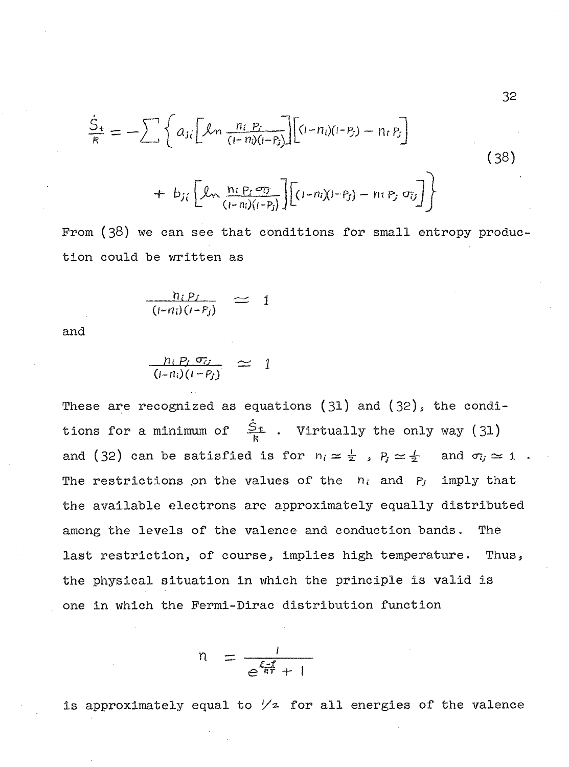$$
\frac{\dot{S}_{+}}{R} = -\sum \left\{ a_{ji} \left[ \ln \frac{n_{i} P_{i}}{(1 - n_{i})(1 - P_{j})} \right] \left[ (1 - n_{i})(1 - P_{j}) - n_{i} P_{j} \right] + b_{ji} \left[ \ln \frac{n_{i} P_{i} \sigma_{ij}}{(1 - n_{i})(1 - P_{j})} \right] \left[ (1 - n_{i})(1 - P_{j}) - n_{i} P_{j} \sigma_{ij} \right] \right\}
$$
\n(38)

**From (38) we can see that conditions for small entropy production could be written as**

$$
\frac{n_i p_j}{(1-n_i)(1-p_j)} \simeq 1
$$

**and**

$$
\frac{n_i P_i \sigma_U}{(1-n_i)(1-P_j)} \simeq 1
$$

**These are recognized as equations (31) and (32)» the condi**tions for a minimum of  $\frac{\tilde{S}_t}{R}$ . Virtually the only way (31) and (32) can be satisfied is for  $n_i \approx \frac{1}{2}$ ,  $P_i \approx \frac{1}{2}$  and  $\sigma_{ij} \approx 1$ The restrictions on the values of the  $n_i$  and  $P_j$  imply that **the available electrons are approximately equally distributed among the levels of the valence and conduction bands. The last restriction, of course, implies high temperature. Thus, the physical situation in which the principle is valid is one in which the Fermi-Dirac distribution function**

$$
n = \frac{1}{e^{\frac{\xi - f}{RT}} + 1}
$$

**is approximately equal to '/s- for all energies of the valence**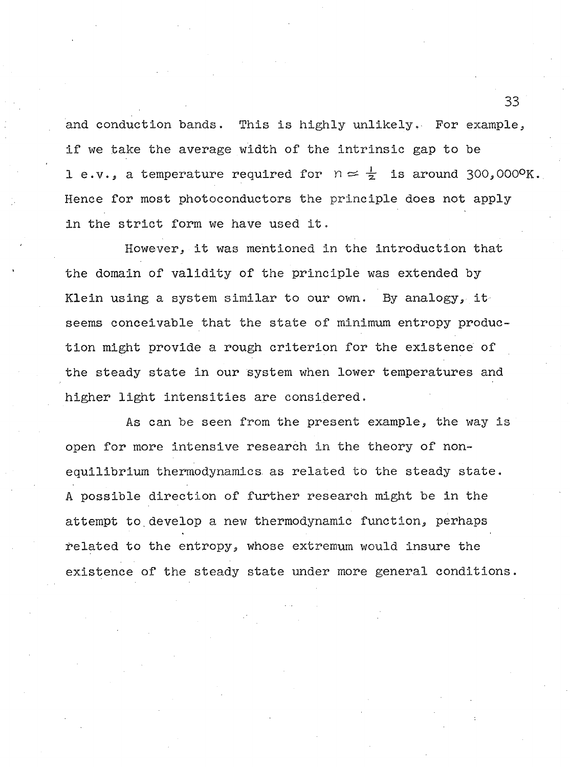**and conduction bands. This is highly unlikely. For example, if we take the average width of the intrinsic gap to be 1** e.v., a temperature required for  $n \approx \frac{1}{2}$  is around  $300,0000$ K. **Hence for most photoconductors the principle does not apply in the strict form we have used it.**

**However, it was mentioned in the introduction that the domain of validity of the principle was extended by Klein using a system similar to our own. By analogy, it seems conceivable that the state of minimum entropy production might provide a rough criterion for the existence of the steady state in our system when lower temperatures and higher light intensities are considered.**

**As can be seen from the present example, the way is open for more intensive research in the theory of nonequilibrium thermodynamics as related to the steady state. A possible direction of further research might be in the attempt to.develop a new thermodynamic function, perhaps belated to the entropy, whose extremum would insure the existence of the steady state under more general conditions.**